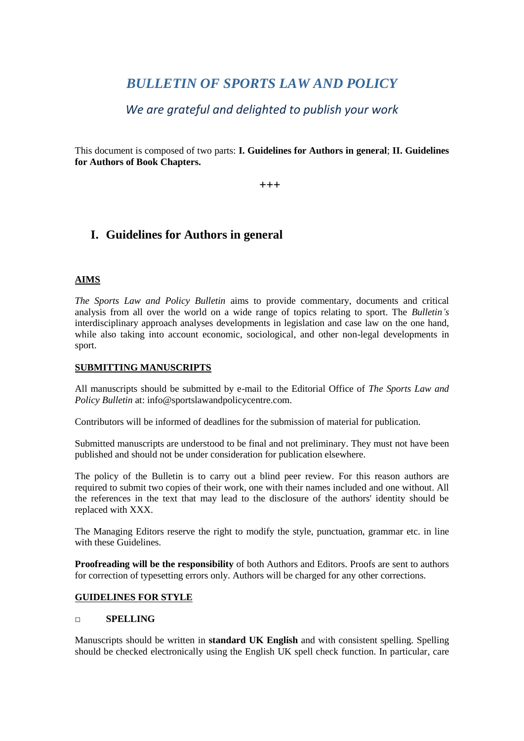# *BULLETIN OF SPORTS LAW AND POLICY*

*We are grateful and delighted to publish your work*

This document is composed of two parts: **I. Guidelines for Authors in general**; **II. Guidelines for Authors of Book Chapters.** 

**+++**

## **I. Guidelines for Authors in general**

## **AIMS**

*The Sports Law and Policy Bulletin* aims to provide commentary, documents and critical analysis from all over the world on a wide range of topics relating to sport. The *Bulletin's*  interdisciplinary approach analyses developments in legislation and case law on the one hand, while also taking into account economic, sociological, and other non-legal developments in sport.

#### **SUBMITTING MANUSCRIPTS**

All manuscripts should be submitted by e-mail to the Editorial Office of *The Sports Law and Policy Bulletin* at: [info@sportslawandpolicycentre.com.](mailto:info@sportslawandpolicycentre.com)

Contributors will be informed of deadlines for the submission of material for publication.

Submitted manuscripts are understood to be final and not preliminary. They must not have been published and should not be under consideration for publication elsewhere.

The policy of the Bulletin is to carry out a blind peer review. For this reason authors are required to submit two copies of their work, one with their names included and one without. All the references in the text that may lead to the disclosure of the authors' identity should be replaced with XXX.

The Managing Editors reserve the right to modify the style, punctuation, grammar etc. in line with these Guidelines.

**Proofreading will be the responsibility** of both Authors and Editors. Proofs are sent to authors for correction of typesetting errors only. Authors will be charged for any other corrections.

#### **GUIDELINES FOR STYLE**

#### **□ SPELLING**

Manuscripts should be written in **standard UK English** and with consistent spelling. Spelling should be checked electronically using the English UK spell check function. In particular, care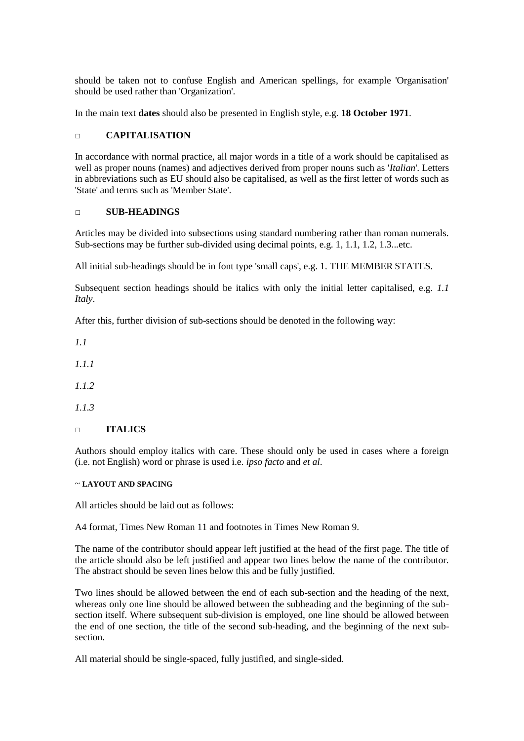should be taken not to confuse English and American spellings, for example 'Organisation' should be used rather than 'Organization'.

In the main text **dates** should also be presented in English style, e.g. **18 October 1971**.

#### **□ CAPITALISATION**

In accordance with normal practice, all major words in a title of a work should be capitalised as well as proper nouns (names) and adjectives derived from proper nouns such as '*Italian*'. Letters in abbreviations such as EU should also be capitalised, as well as the first letter of words such as 'State' and terms such as 'Member State'.

#### **□ SUB-HEADINGS**

Articles may be divided into subsections using standard numbering rather than roman numerals. Sub-sections may be further sub-divided using decimal points, e.g. 1, 1.1, 1.2, 1.3...etc.

All initial sub-headings should be in font type 'small caps', e.g. 1. THE MEMBER STATES.

Subsequent section headings should be italics with only the initial letter capitalised, e.g. *1.1 Italy*.

After this, further division of sub-sections should be denoted in the following way:

*1.1* 

*1.1.1* 

*1.1.2*

*1.1.3*

#### **□ ITALICS**

Authors should employ italics with care. These should only be used in cases where a foreign (i.e. not English) word or phrase is used i.e. *ipso facto* and *et al*.

#### ~ **LAYOUT AND SPACING**

All articles should be laid out as follows:

A4 format, Times New Roman 11 and footnotes in Times New Roman 9.

The name of the contributor should appear left justified at the head of the first page. The title of the article should also be left justified and appear two lines below the name of the contributor. The abstract should be seven lines below this and be fully justified.

Two lines should be allowed between the end of each sub-section and the heading of the next, whereas only one line should be allowed between the subheading and the beginning of the subsection itself. Where subsequent sub-division is employed, one line should be allowed between the end of one section, the title of the second sub-heading, and the beginning of the next subsection.

All material should be single-spaced, fully justified, and single-sided.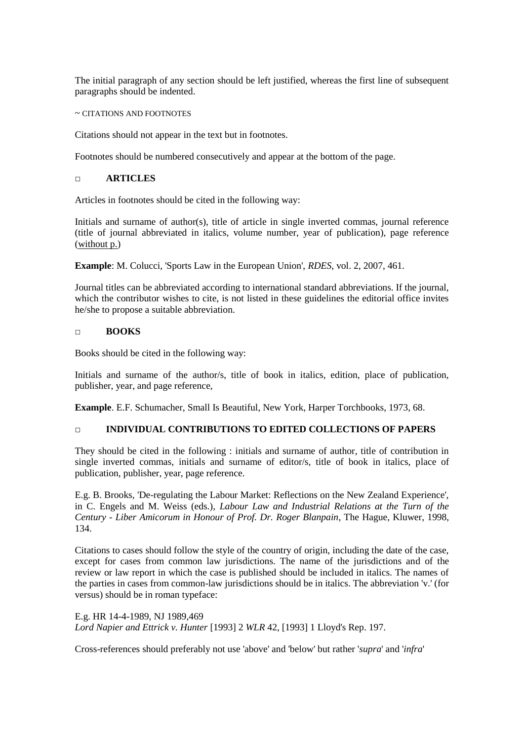The initial paragraph of any section should be left justified, whereas the first line of subsequent paragraphs should be indented.

~ CITATIONS AND FOOTNOTES

Citations should not appear in the text but in footnotes.

Footnotes should be numbered consecutively and appear at the bottom of the page.

#### **□ ARTICLES**

Articles in footnotes should be cited in the following way:

Initials and surname of author(s), title of article in single inverted commas, journal reference (title of journal abbreviated in italics, volume number, year of publication), page reference (without p.)

**Example**: M. Colucci, 'Sports Law in the European Union', *RDES*, vol. 2, 2007, 461.

Journal titles can be abbreviated according to international standard abbreviations. If the journal, which the contributor wishes to cite, is not listed in these guidelines the editorial office invites he/she to propose a suitable abbreviation.

#### **□ BOOKS**

Books should be cited in the following way:

Initials and surname of the author/s, title of book in italics, edition, place of publication, publisher, year, and page reference,

**Example**. E.F. Schumacher, Small Is Beautiful, New York, Harper Torchbooks, 1973, 68.

#### **□ INDIVIDUAL CONTRIBUTIONS TO EDITED COLLECTIONS OF PAPERS**

They should be cited in the following : initials and surname of author, title of contribution in single inverted commas, initials and surname of editor/s, title of book in italics, place of publication, publisher, year, page reference.

E.g. B. Brooks, 'De-regulating the Labour Market: Reflections on the New Zealand Experience', in C. Engels and M. Weiss (eds.), *Labour Law and Industrial Relations at the Turn of the Century - Liber Amicorum in Honour of Prof. Dr. Roger Blanpain*, The Hague, Kluwer, 1998, 134.

Citations to cases should follow the style of the country of origin, including the date of the case, except for cases from common law jurisdictions. The name of the jurisdictions and of the review or law report in which the case is published should be included in italics. The names of the parties in cases from common-law jurisdictions should be in italics. The abbreviation 'v.' (for versus) should be in roman typeface:

E.g. HR 14-4-1989, NJ 1989,469 *Lord Napier and Ettrick v. Hunter* [1993] 2 *WLR* 42, [1993] 1 Lloyd's Rep. 197.

Cross-references should preferably not use 'above' and 'below' but rather '*supra*' and '*infra*'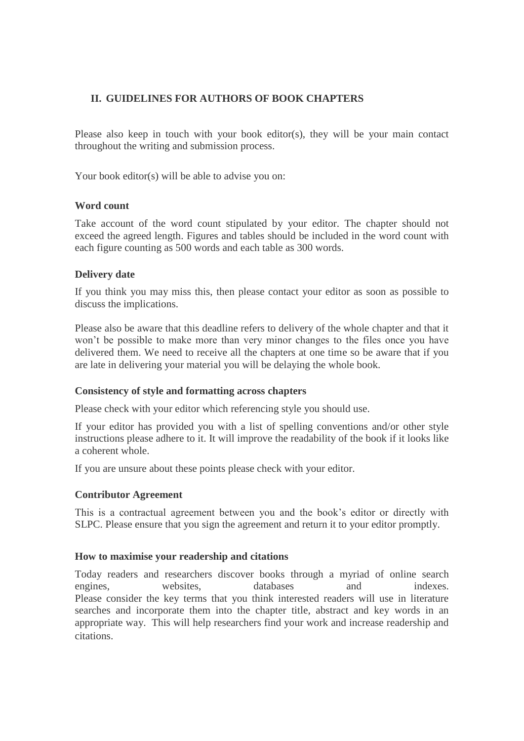## **II. GUIDELINES FOR AUTHORS OF BOOK CHAPTERS**

Please also keep in touch with your book editor(s), they will be your main contact throughout the writing and submission process.

Your book editor(s) will be able to advise you on:

## **Word count**

Take account of the word count stipulated by your editor. The chapter should not exceed the agreed length. Figures and tables should be included in the word count with each figure counting as 500 words and each table as 300 words.

## **Delivery date**

If you think you may miss this, then please contact your editor as soon as possible to discuss the implications.

Please also be aware that this deadline refers to delivery of the whole chapter and that it won't be possible to make more than very minor changes to the files once you have delivered them. We need to receive all the chapters at one time so be aware that if you are late in delivering your material you will be delaying the whole book.

#### **Consistency of style and formatting across chapters**

Please check with your editor which referencing style you should use.

If your editor has provided you with a list of spelling conventions and/or other style instructions please adhere to it. It will improve the readability of the book if it looks like a coherent whole.

If you are unsure about these points please check with your editor.

#### **Contributor Agreement**

This is a contractual agreement between you and the book's editor or directly with SLPC. Please ensure that you sign the agreement and return it to your editor promptly.

#### **How to maximise your readership and citations**

Today readers and researchers discover books through a myriad of online search engines, websites, databases and indexes. Please consider the key terms that you think interested readers will use in literature searches and incorporate them into the chapter title, abstract and key words in an appropriate way. This will help researchers find your work and increase readership and citations.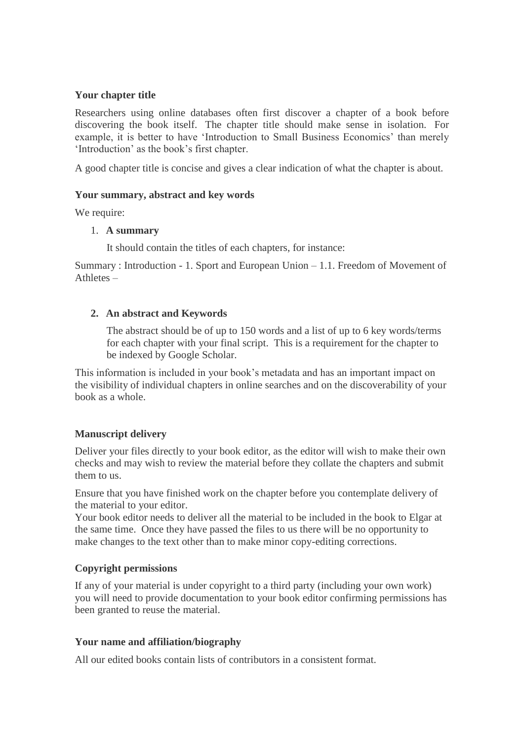## **Your chapter title**

Researchers using online databases often first discover a chapter of a book before discovering the book itself. The chapter title should make sense in isolation. For example, it is better to have 'Introduction to Small Business Economics' than merely 'Introduction' as the book's first chapter.

A good chapter title is concise and gives a clear indication of what the chapter is about.

## **Your summary, abstract and key words**

We require:

#### 1. **A summary**

It should contain the titles of each chapters, for instance:

Summary : Introduction - 1. Sport and European Union – 1.1. Freedom of Movement of  $A$ thletes  $-$ 

## **2. An abstract and Keywords**

The abstract should be of up to 150 words and a list of up to 6 key words/terms for each chapter with your final script. This is a requirement for the chapter to be indexed by Google Scholar.

This information is included in your book's metadata and has an important impact on the visibility of individual chapters in online searches and on the discoverability of your book as a whole.

## **Manuscript delivery**

Deliver your files directly to your book editor, as the editor will wish to make their own checks and may wish to review the material before they collate the chapters and submit them to us.

Ensure that you have finished work on the chapter before you contemplate delivery of the material to your editor.

Your book editor needs to deliver all the material to be included in the book to Elgar at the same time. Once they have passed the files to us there will be no opportunity to make changes to the text other than to make minor copy-editing corrections.

## **Copyright permissions**

If any of your material is under copyright to a third party (including your own work) you will need to provide documentation to your book editor confirming permissions has been granted to reuse the material.

## **Your name and affiliation/biography**

All our edited books contain lists of contributors in a consistent format.